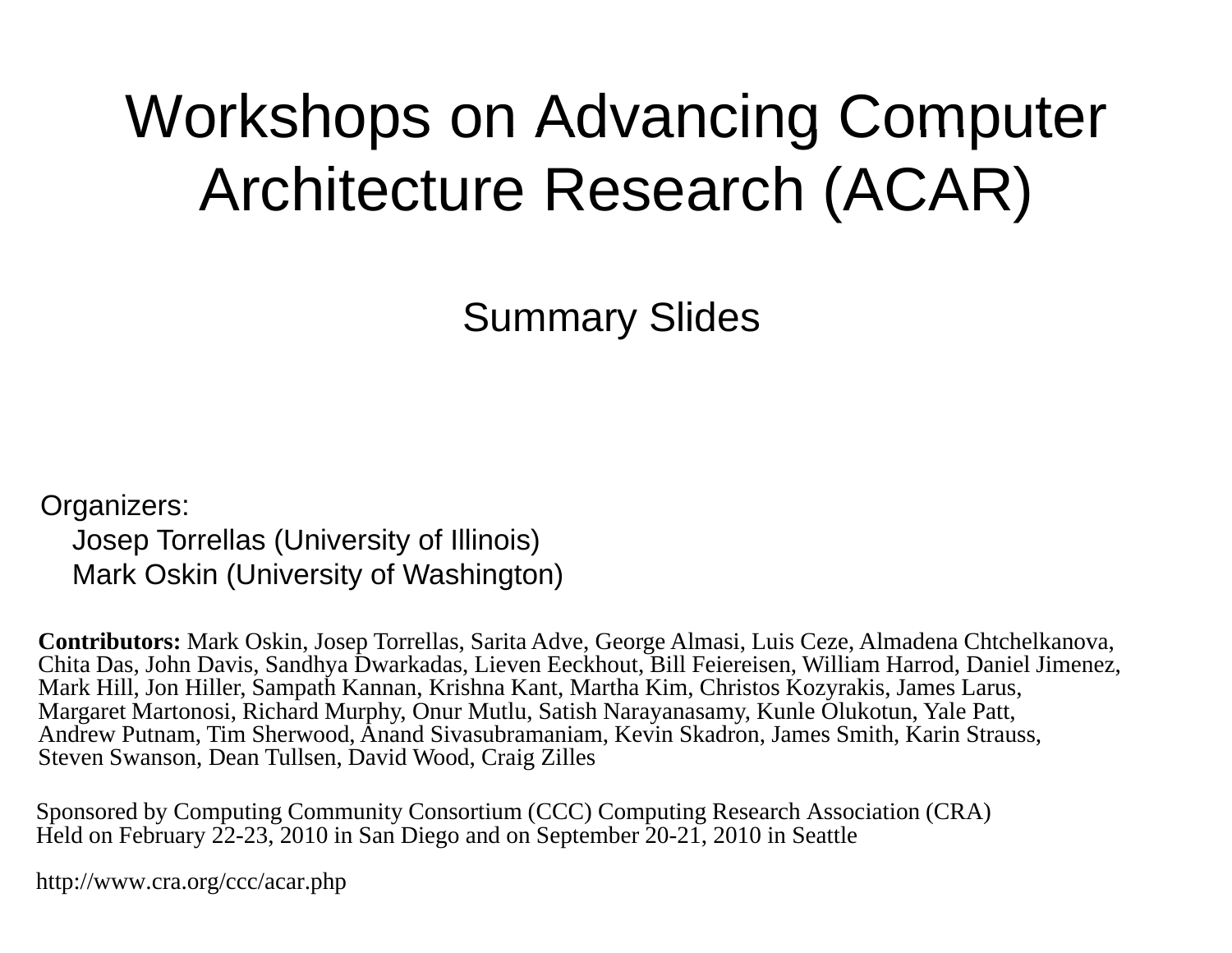#### Workshops on Advancing Computer Architecture Research (ACAR)

Summary Slides

Organizers:

Josep Torrellas (University of Illinois) Mark Oskin (University of Washington)

**Contributors:** Mark Oskin, Josep Torrellas, Sarita Adve, George Almasi, Luis Ceze, Almadena Chtchelkanova, Chita Das, John Davis, Sandhya Dwarkadas, Lieven Eeckhout, Bill Feiereisen, William Harrod, Daniel Jimenez, Mark Hill, Jon Hiller, Sampath Kannan, Krishna Kant, Martha Kim, Christos Kozyrakis, James Larus, Margaret Martonosi, Richard Murphy, Onur Mutlu, Satish Narayanasamy, Kunle Olukotun, Yale Patt, Andrew Putnam, Tim Sherwood, Anand Sivasubramaniam, Kevin Skadron, James Smith, Karin Strauss, Steven Swanson, Dean Tullsen, David Wood, Craig Zilles

Sponsored by Computing Community Consortium (CCC) Computing Research Association (CRA) Held on February  $22-23$ , 2010 in San Diego and on September 20-21, 2010 in Seattle

http://www.cra.org/ccc/acar.php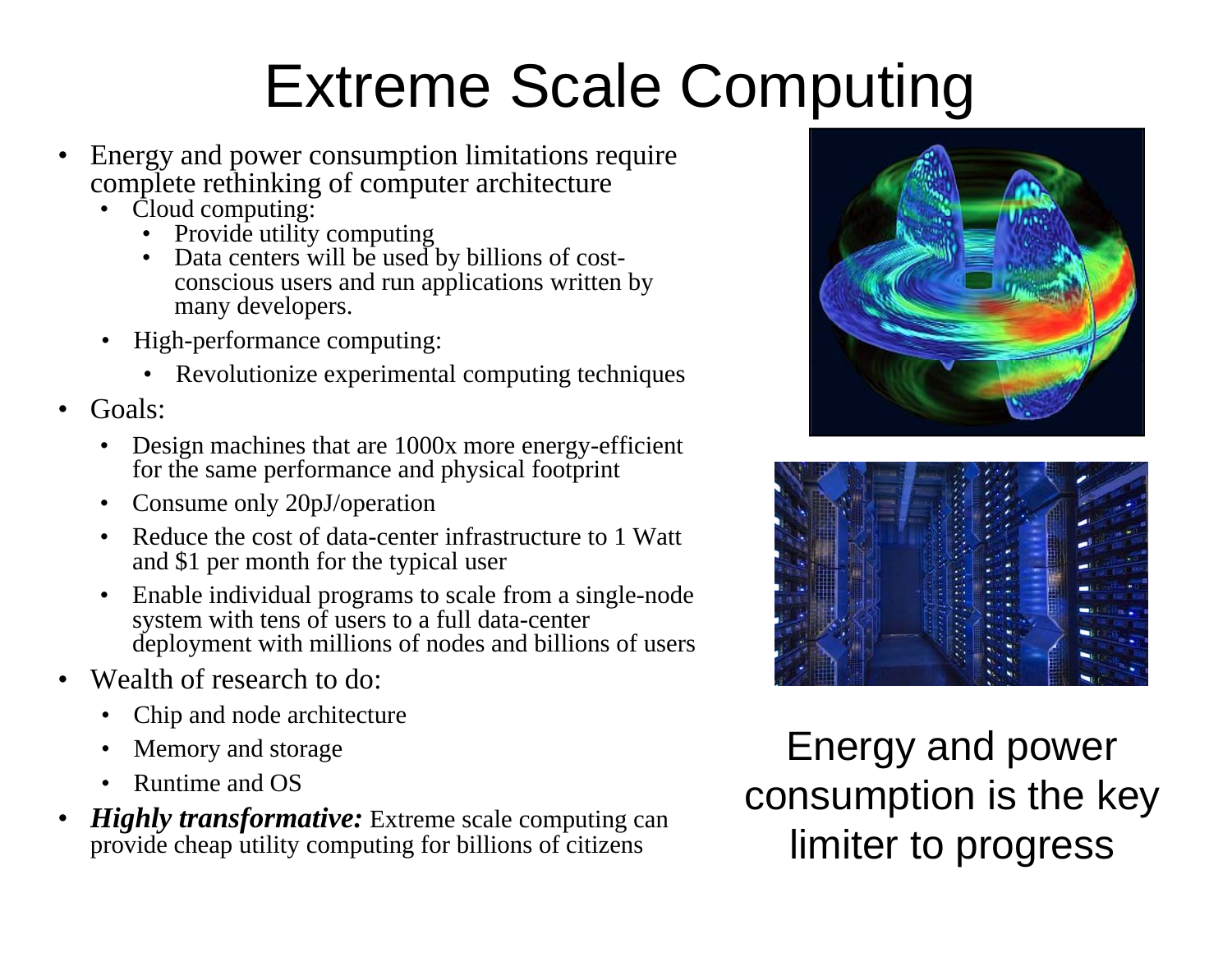# Extreme Scale Computing

- • Energy and power consumption limitations require complete rethinking of computer architecture
	- • Cloud computing:
		- $\bullet$ Provide utility computing
		- • Data centers will be used by billions of costconscious users and run applications written by many developers.
	- • High-performance computing:
		- Revolutionize experimental computing techniques
- • Goals:
	- • Design machines that are 1000x more energy-efficient for the same performance and physical footprint
	- $\bullet$ Consume only 20pJ/operation
	- • Reduce the cost of data-center infrastructure to 1 Watt and \$1 per month for the typical user
	- •• Enable individual programs to scale from a single-node system with tens of users to a full data-center deployment with millions of nodes and billions of users
- • Wealth of research to do:
	- •• Chip and node architecture
	- •Memory and storage
	- •Runtime and OS
- • *Highly transformative:* Extreme scale computing can provide cheap utility computing for billions of citizens limiter to progress





Energy and power consumption is the key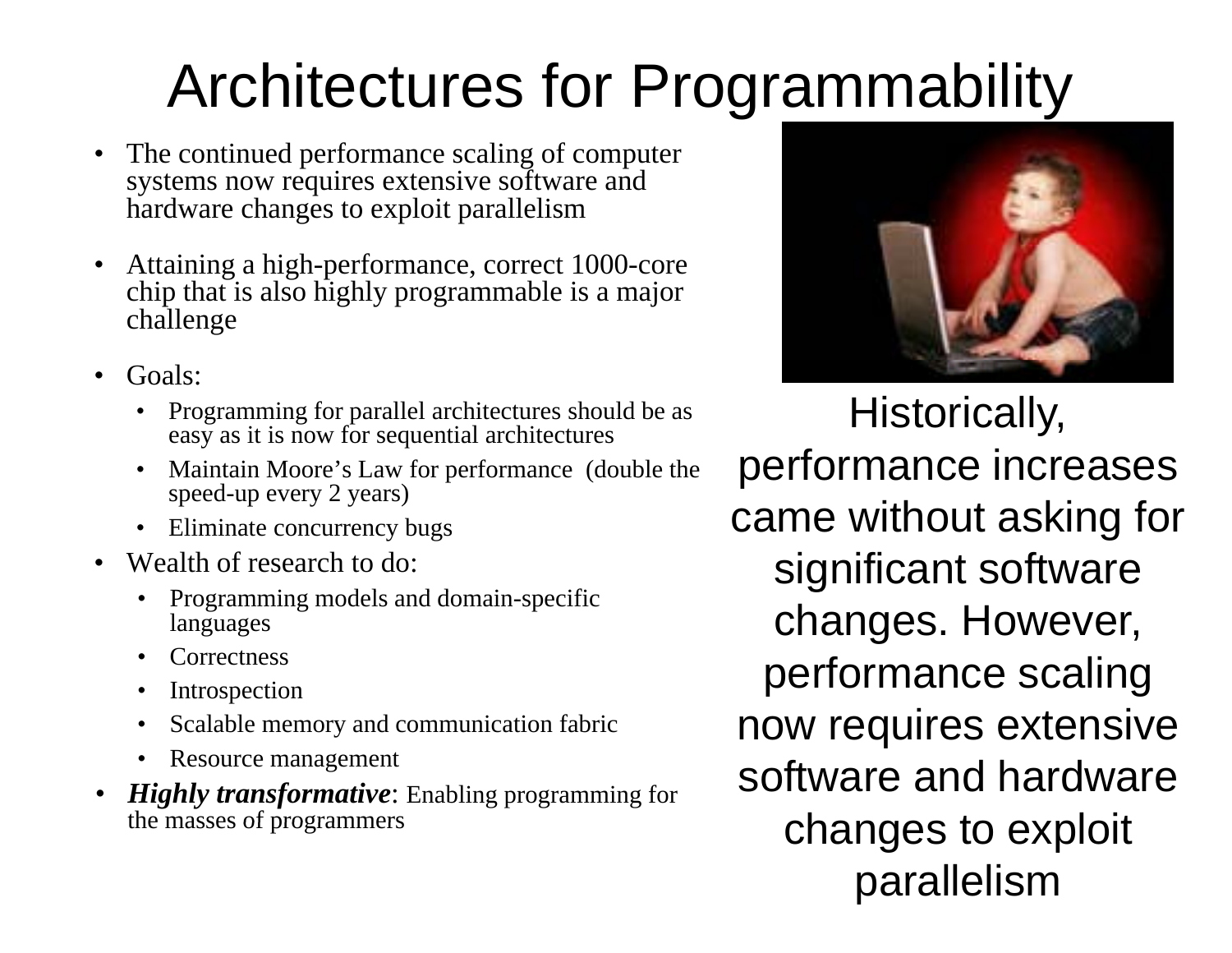# Architectures for Programmability

- • The continued performance scaling of computer systems now requires extensive software and hardware changes to exploit parallelism
- • Attaining a high-performance, correct 1000-core chip that is also highly programmable is a major challenge
- Goals:
	- $\bullet$  Programming for parallel architectures should be as easy as it is now for sequential architectures
	- Maintain Moore's Law for performance (double the speed-up every 2 years)
	- Eliminate concurrency bugs
- •Wealth of research to do:
	- Programming models and domain-specific •languages
	- •**Correctness**
	- •Introspection
	- •Scalable memory and communication fabric
	- •Resource management
- • *Highly transformative*: Enabling programming for the masses of programmers



Historically, n Moore's Law for performance (double the  $\;$  performance increases came without asking for significant software changes. However, performance scaling now requires extensive software and hardware changes to exploit parallelism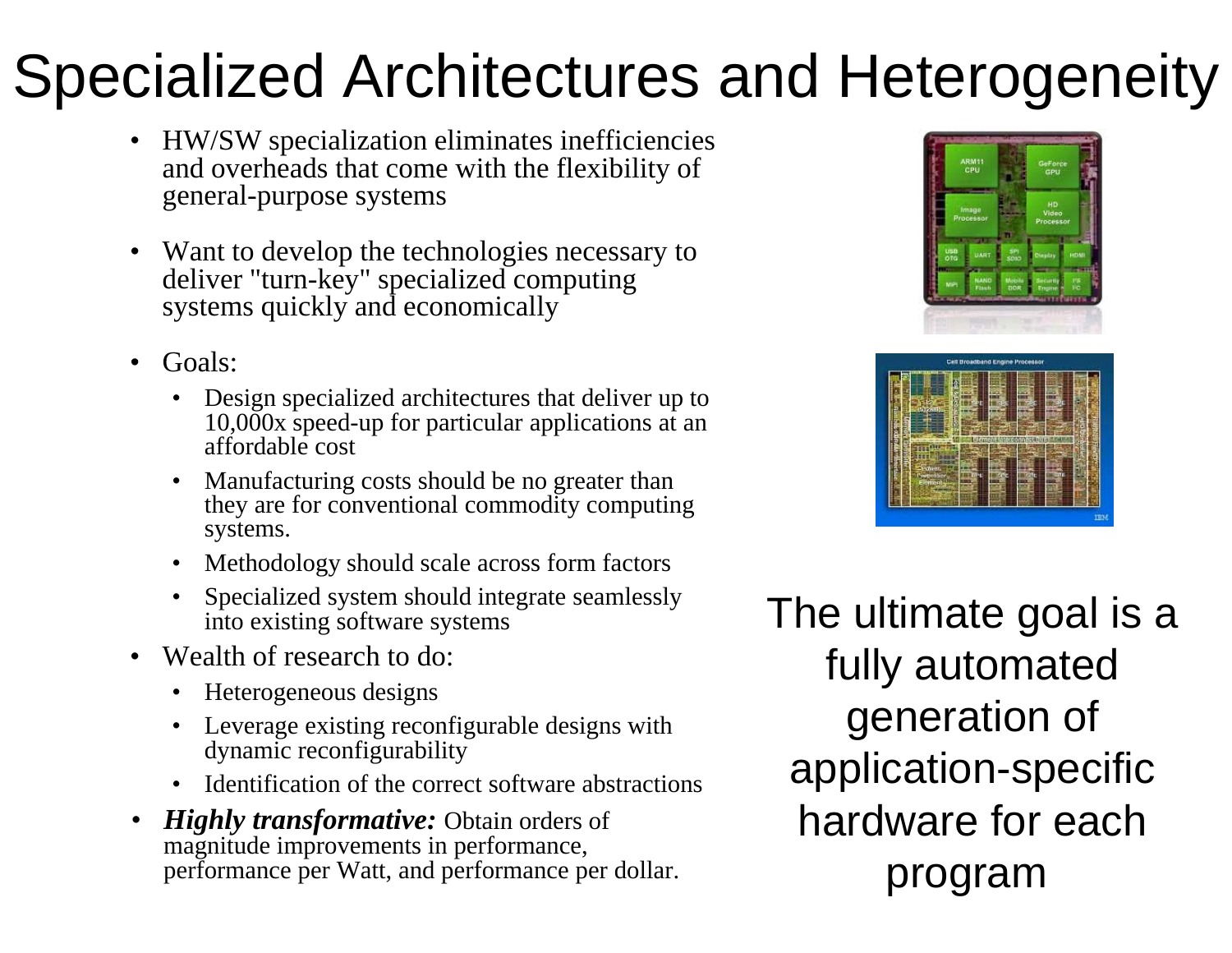#### Specialized Architectures and Heterogeneity

- HW/SW specialization eliminates inefficiencies and overheads that come with the flexibility of general-purpose systems
- Want to develop the technologies necessary to deliver "turn-key" specialized computing systems quickly and economically
- • Goals:
	- • Design specialized architectures that deliver up to 10,000x speed-up for particular applications at an affordable cost
	- •• Manufacturing costs should be no greater than they are for conventional commodity computing systems.
	- •Methodology should scale across form factors
	- •• Specialized system should integrate seamlessly into existing software systems
- Wealth of research to do:
	- •Heterogeneous designs
	- •Leverage existing reconfigurable designs with dynamic reconfigurability
	- •Identification of the correct software abstractions
- • *Highly transformative:* Obtain orders of magnitude improvements in performance, performance per Watt, and performance per dollar.





The ultimate goal is a fully automated generation o application-specific hardware for eachprogram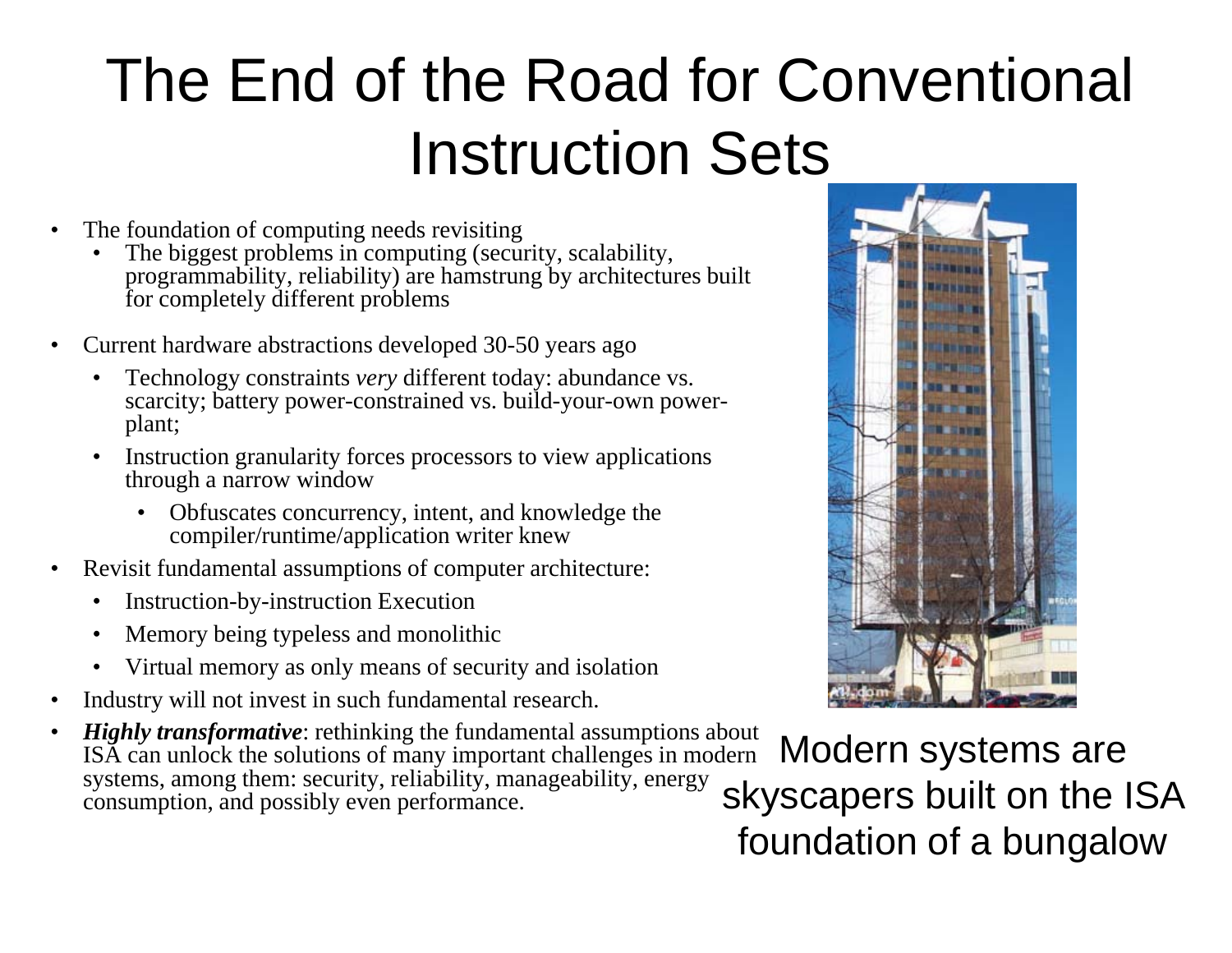## The End of the Road for Conventional Instruction Sets

- • The foundation of computing needs revisiting
	- •The biggest problems in computing (security, scalability, programmability, reliability) are hamstrung by architectures built for completely different problems
- • Current hardware abstractions developed 30-50 years ago
	- • Technology constraints *very* different today: abundance vs. scarcity; battery power-constrained vs. build-your-own powerplant;
	- $\bullet$  Instruction granularity forces processors to view applications through a narrow window
		- Obfuscates concurrency, intent, and knowledge the compiler/runtime/application writer knew
- $\bullet$  Revisit fundamental assumptions of computer architecture:
	- $\bullet$ Instruction-by-instruction Execution
	- $\bullet$ Memory being typeless and monolithic
	- •Virtual memory as only means of security and isolation
- •Industry will not invest in such fundamental research.
- •*Highly transformative*: rethinking the fundamental assumptions about ISA can unlock the solutions of many important challenges in modern systems, among them: security, reliability, manageability, energy consumption, and possibly even performance.



Modern systems are skyscapers built on the ISA foundation of a bungalow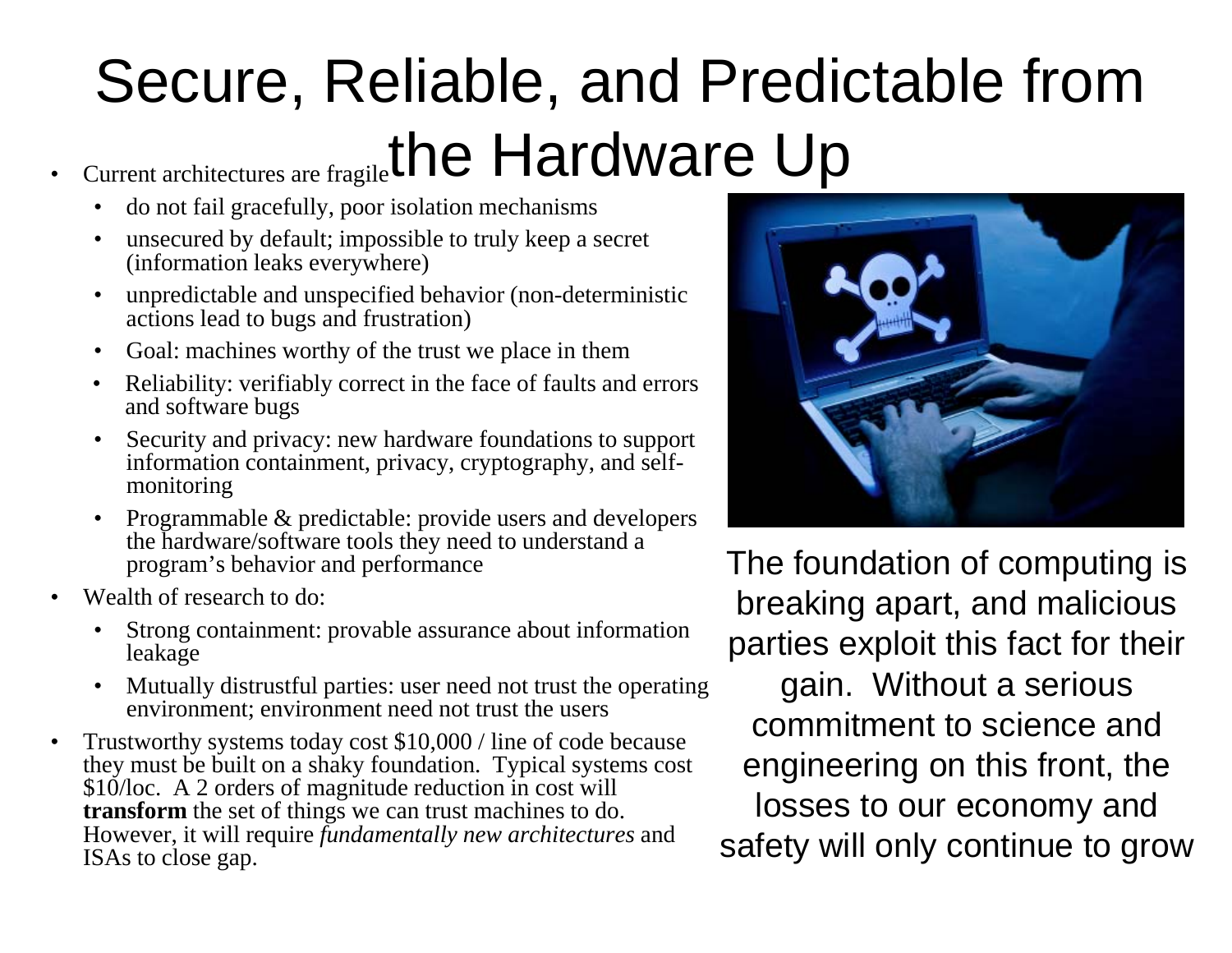## Secure, Reliable, and Predictable from Current architectures are fragile<sup>the</sup> Hardware Up

- •do not fail gracefully, poor isolation mechanisms
- $\bullet$ • unsecured by default; impossible to truly keep a secret (information leaks everywhere)
- • unpredictable and unspecified behavior (non-deterministic actions lead to bugs and frustration)
- •Goal: machines worthy of the trust we place in them
- • Reliability: verifiably correct in the face of faults and errors and software bugs
- • Security and privacy: new hardware foundations to support information containment, privacy, cryptography, and selfmonitoring
- Programmable & predictable: provide users and developers the hardware/software tools they need to understand a program's behavior and performance
- Wealth of research to do:

•

- • Strong containment: provable assurance about information leakage
- Mutually distrustful parties: user need not trust the operating environment; environment need not trust the users
- • Trustworthy systems today cost \$10,000 / line of code because they must be built on a shaky foundation. Typical systems cost \$10/loc. A 2 orders of magnitude reduction in cost will **transform** the set of thin gs we can trust machines to do. However, it will require *fundamentally new architectures* and ISAs to close gap.



The foundation of computing is • Wealth of research to do: **breaking apart, and malicious** parties exploit this fact for their gain. Without a serious commitment to science and engineering on this front, the gs we can trust machines to do. **IOSSES to OUT ECONOMY and** safety will only continue to grow